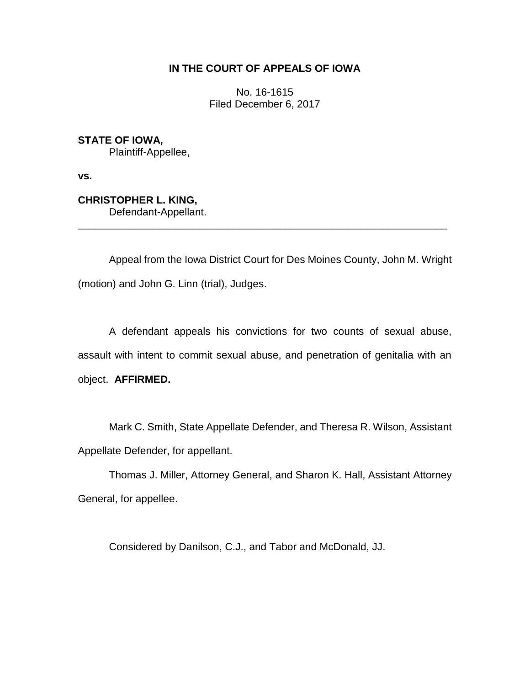# **IN THE COURT OF APPEALS OF IOWA**

No. 16-1615 Filed December 6, 2017

**STATE OF IOWA,** Plaintiff-Appellee,

**vs.**

**CHRISTOPHER L. KING,** Defendant-Appellant.

Appeal from the Iowa District Court for Des Moines County, John M. Wright (motion) and John G. Linn (trial), Judges.

\_\_\_\_\_\_\_\_\_\_\_\_\_\_\_\_\_\_\_\_\_\_\_\_\_\_\_\_\_\_\_\_\_\_\_\_\_\_\_\_\_\_\_\_\_\_\_\_\_\_\_\_\_\_\_\_\_\_\_\_\_\_\_\_

A defendant appeals his convictions for two counts of sexual abuse, assault with intent to commit sexual abuse, and penetration of genitalia with an object. **AFFIRMED.** 

Mark C. Smith, State Appellate Defender, and Theresa R. Wilson, Assistant Appellate Defender, for appellant.

Thomas J. Miller, Attorney General, and Sharon K. Hall, Assistant Attorney General, for appellee.

Considered by Danilson, C.J., and Tabor and McDonald, JJ.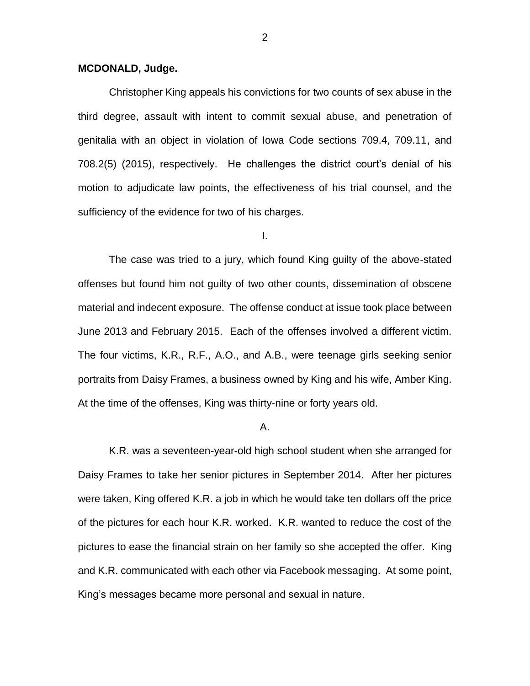# **MCDONALD, Judge.**

Christopher King appeals his convictions for two counts of sex abuse in the third degree, assault with intent to commit sexual abuse, and penetration of genitalia with an object in violation of Iowa Code sections 709.4, 709.11, and 708.2(5) (2015), respectively. He challenges the district court's denial of his motion to adjudicate law points, the effectiveness of his trial counsel, and the sufficiency of the evidence for two of his charges.

I.

The case was tried to a jury, which found King guilty of the above-stated offenses but found him not guilty of two other counts, dissemination of obscene material and indecent exposure. The offense conduct at issue took place between June 2013 and February 2015. Each of the offenses involved a different victim. The four victims, K.R., R.F., A.O., and A.B., were teenage girls seeking senior portraits from Daisy Frames, a business owned by King and his wife, Amber King. At the time of the offenses, King was thirty-nine or forty years old.

### A.

K.R. was a seventeen-year-old high school student when she arranged for Daisy Frames to take her senior pictures in September 2014. After her pictures were taken, King offered K.R. a job in which he would take ten dollars off the price of the pictures for each hour K.R. worked. K.R. wanted to reduce the cost of the pictures to ease the financial strain on her family so she accepted the offer. King and K.R. communicated with each other via Facebook messaging. At some point, King's messages became more personal and sexual in nature.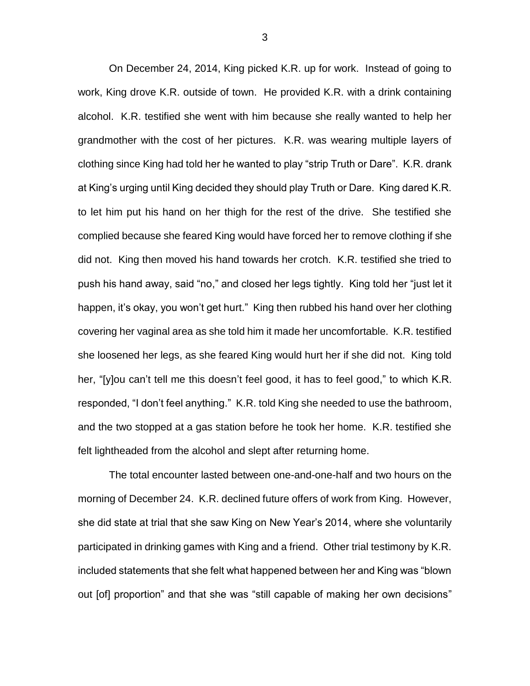On December 24, 2014, King picked K.R. up for work. Instead of going to work, King drove K.R. outside of town. He provided K.R. with a drink containing alcohol. K.R. testified she went with him because she really wanted to help her grandmother with the cost of her pictures. K.R. was wearing multiple layers of clothing since King had told her he wanted to play "strip Truth or Dare". K.R. drank at King's urging until King decided they should play Truth or Dare. King dared K.R. to let him put his hand on her thigh for the rest of the drive. She testified she complied because she feared King would have forced her to remove clothing if she did not. King then moved his hand towards her crotch. K.R. testified she tried to push his hand away, said "no," and closed her legs tightly. King told her "just let it happen, it's okay, you won't get hurt." King then rubbed his hand over her clothing covering her vaginal area as she told him it made her uncomfortable. K.R. testified she loosened her legs, as she feared King would hurt her if she did not. King told her, "[y]ou can't tell me this doesn't feel good, it has to feel good," to which K.R. responded, "I don't feel anything." K.R. told King she needed to use the bathroom, and the two stopped at a gas station before he took her home. K.R. testified she felt lightheaded from the alcohol and slept after returning home.

The total encounter lasted between one-and-one-half and two hours on the morning of December 24. K.R. declined future offers of work from King. However, she did state at trial that she saw King on New Year's 2014, where she voluntarily participated in drinking games with King and a friend. Other trial testimony by K.R. included statements that she felt what happened between her and King was "blown out [of] proportion" and that she was "still capable of making her own decisions"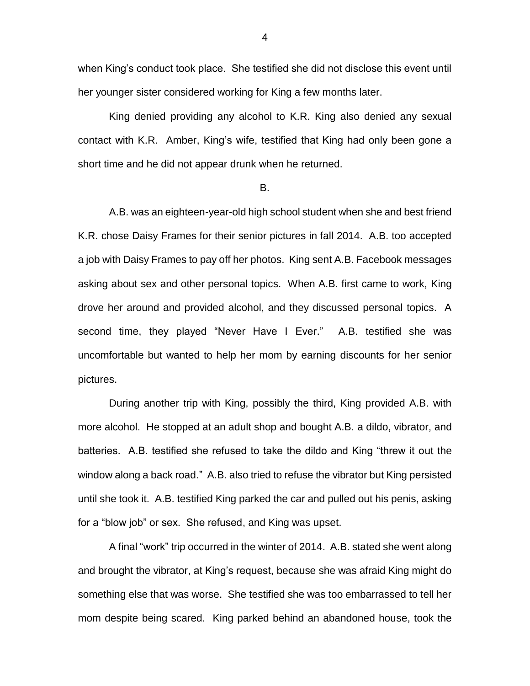when King's conduct took place. She testified she did not disclose this event until her younger sister considered working for King a few months later.

King denied providing any alcohol to K.R. King also denied any sexual contact with K.R. Amber, King's wife, testified that King had only been gone a short time and he did not appear drunk when he returned.

#### B.

A.B. was an eighteen-year-old high school student when she and best friend K.R. chose Daisy Frames for their senior pictures in fall 2014. A.B. too accepted a job with Daisy Frames to pay off her photos. King sent A.B. Facebook messages asking about sex and other personal topics. When A.B. first came to work, King drove her around and provided alcohol, and they discussed personal topics. A second time, they played "Never Have I Ever." A.B. testified she was uncomfortable but wanted to help her mom by earning discounts for her senior pictures.

During another trip with King, possibly the third, King provided A.B. with more alcohol. He stopped at an adult shop and bought A.B. a dildo, vibrator, and batteries. A.B. testified she refused to take the dildo and King "threw it out the window along a back road." A.B. also tried to refuse the vibrator but King persisted until she took it. A.B. testified King parked the car and pulled out his penis, asking for a "blow job" or sex. She refused, and King was upset.

A final "work" trip occurred in the winter of 2014. A.B. stated she went along and brought the vibrator, at King's request, because she was afraid King might do something else that was worse. She testified she was too embarrassed to tell her mom despite being scared. King parked behind an abandoned house, took the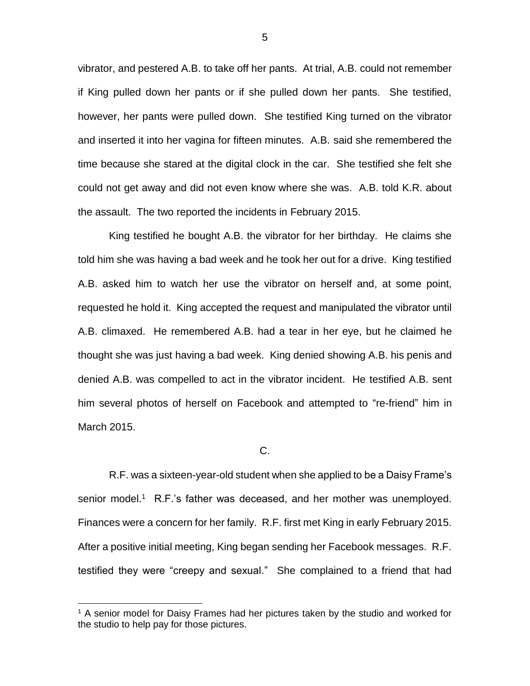vibrator, and pestered A.B. to take off her pants. At trial, A.B. could not remember if King pulled down her pants or if she pulled down her pants. She testified, however, her pants were pulled down. She testified King turned on the vibrator and inserted it into her vagina for fifteen minutes. A.B. said she remembered the time because she stared at the digital clock in the car. She testified she felt she could not get away and did not even know where she was. A.B. told K.R. about the assault. The two reported the incidents in February 2015.

King testified he bought A.B. the vibrator for her birthday. He claims she told him she was having a bad week and he took her out for a drive. King testified A.B. asked him to watch her use the vibrator on herself and, at some point, requested he hold it. King accepted the request and manipulated the vibrator until A.B. climaxed. He remembered A.B. had a tear in her eye, but he claimed he thought she was just having a bad week. King denied showing A.B. his penis and denied A.B. was compelled to act in the vibrator incident. He testified A.B. sent him several photos of herself on Facebook and attempted to "re-friend" him in March 2015.

## C.

R.F. was a sixteen-year-old student when she applied to be a Daisy Frame's senior model.<sup>1</sup> R.F.'s father was deceased, and her mother was unemployed. Finances were a concern for her family. R.F. first met King in early February 2015. After a positive initial meeting, King began sending her Facebook messages. R.F. testified they were "creepy and sexual." She complained to a friend that had

 $\overline{a}$ 

<sup>&</sup>lt;sup>1</sup> A senior model for Daisy Frames had her pictures taken by the studio and worked for the studio to help pay for those pictures.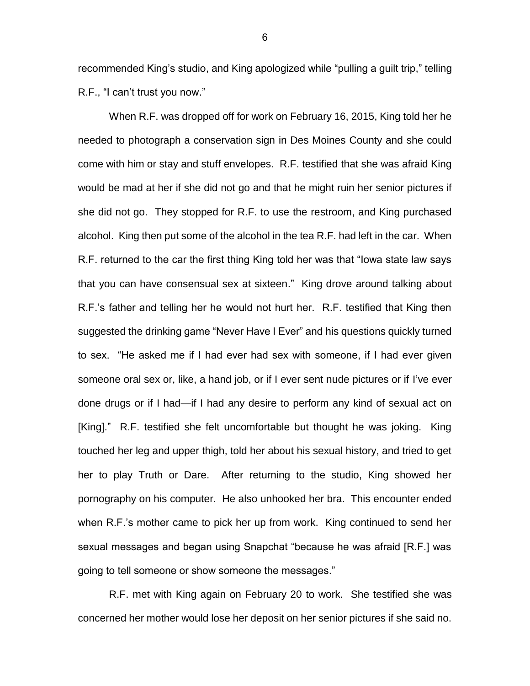recommended King's studio, and King apologized while "pulling a guilt trip," telling R.F., "I can't trust you now."

When R.F. was dropped off for work on February 16, 2015, King told her he needed to photograph a conservation sign in Des Moines County and she could come with him or stay and stuff envelopes. R.F. testified that she was afraid King would be mad at her if she did not go and that he might ruin her senior pictures if she did not go. They stopped for R.F. to use the restroom, and King purchased alcohol. King then put some of the alcohol in the tea R.F. had left in the car. When R.F. returned to the car the first thing King told her was that "Iowa state law says that you can have consensual sex at sixteen." King drove around talking about R.F.'s father and telling her he would not hurt her. R.F. testified that King then suggested the drinking game "Never Have I Ever" and his questions quickly turned to sex. "He asked me if I had ever had sex with someone, if I had ever given someone oral sex or, like, a hand job, or if I ever sent nude pictures or if I've ever done drugs or if I had—if I had any desire to perform any kind of sexual act on [King]." R.F. testified she felt uncomfortable but thought he was joking. King touched her leg and upper thigh, told her about his sexual history, and tried to get her to play Truth or Dare. After returning to the studio, King showed her pornography on his computer. He also unhooked her bra. This encounter ended when R.F.'s mother came to pick her up from work. King continued to send her sexual messages and began using Snapchat "because he was afraid [R.F.] was going to tell someone or show someone the messages."

R.F. met with King again on February 20 to work. She testified she was concerned her mother would lose her deposit on her senior pictures if she said no.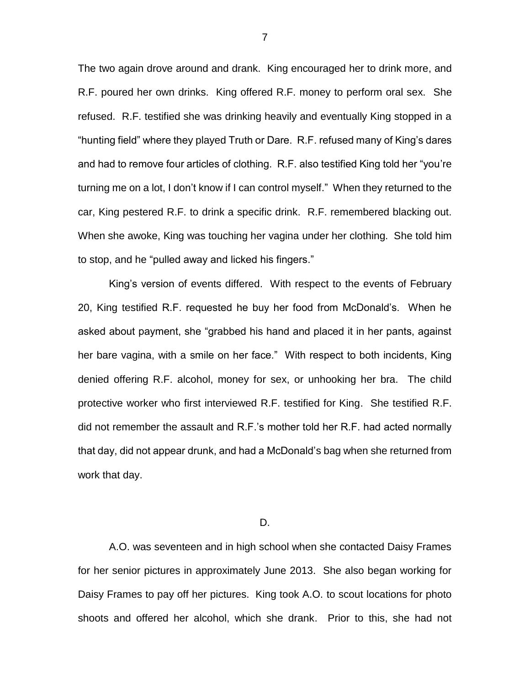The two again drove around and drank. King encouraged her to drink more, and R.F. poured her own drinks. King offered R.F. money to perform oral sex. She refused. R.F. testified she was drinking heavily and eventually King stopped in a "hunting field" where they played Truth or Dare. R.F. refused many of King's dares and had to remove four articles of clothing. R.F. also testified King told her "you're turning me on a lot, I don't know if I can control myself." When they returned to the car, King pestered R.F. to drink a specific drink. R.F. remembered blacking out. When she awoke, King was touching her vagina under her clothing. She told him to stop, and he "pulled away and licked his fingers."

King's version of events differed. With respect to the events of February 20, King testified R.F. requested he buy her food from McDonald's. When he asked about payment, she "grabbed his hand and placed it in her pants, against her bare vagina, with a smile on her face." With respect to both incidents, King denied offering R.F. alcohol, money for sex, or unhooking her bra. The child protective worker who first interviewed R.F. testified for King. She testified R.F. did not remember the assault and R.F.'s mother told her R.F. had acted normally that day, did not appear drunk, and had a McDonald's bag when she returned from work that day.

D.

A.O. was seventeen and in high school when she contacted Daisy Frames for her senior pictures in approximately June 2013. She also began working for Daisy Frames to pay off her pictures. King took A.O. to scout locations for photo shoots and offered her alcohol, which she drank. Prior to this, she had not

7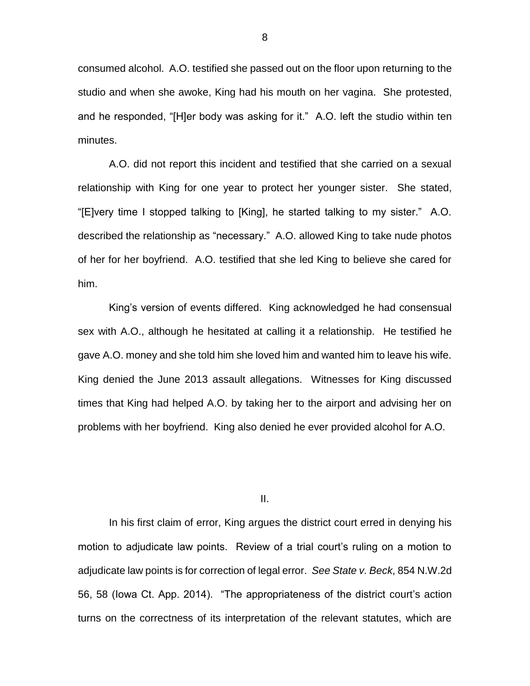consumed alcohol. A.O. testified she passed out on the floor upon returning to the studio and when she awoke, King had his mouth on her vagina. She protested, and he responded, "[H]er body was asking for it." A.O. left the studio within ten minutes.

A.O. did not report this incident and testified that she carried on a sexual relationship with King for one year to protect her younger sister. She stated, "[E]very time I stopped talking to [King], he started talking to my sister." A.O. described the relationship as "necessary." A.O. allowed King to take nude photos of her for her boyfriend. A.O. testified that she led King to believe she cared for him.

King's version of events differed. King acknowledged he had consensual sex with A.O., although he hesitated at calling it a relationship. He testified he gave A.O. money and she told him she loved him and wanted him to leave his wife. King denied the June 2013 assault allegations. Witnesses for King discussed times that King had helped A.O. by taking her to the airport and advising her on problems with her boyfriend. King also denied he ever provided alcohol for A.O.

II.

In his first claim of error, King argues the district court erred in denying his motion to adjudicate law points. Review of a trial court's ruling on a motion to adjudicate law points is for correction of legal error. *See State v. Beck*, 854 N.W.2d 56, 58 (Iowa Ct. App. 2014). "The appropriateness of the district court's action turns on the correctness of its interpretation of the relevant statutes, which are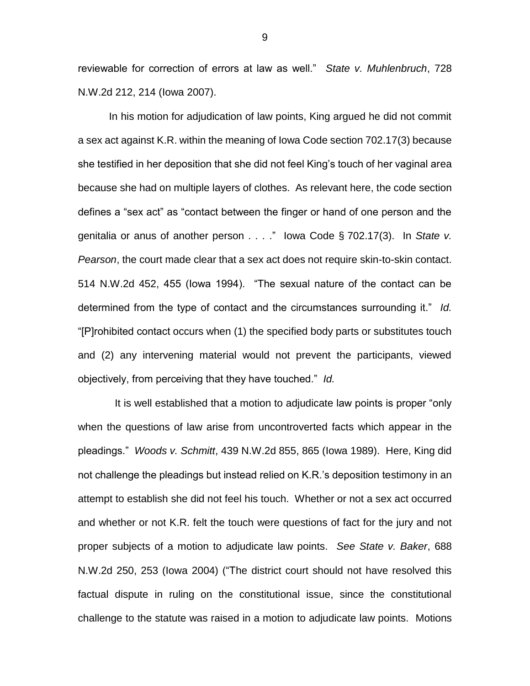reviewable for correction of errors at law as well." *State v. Muhlenbruch*, 728 N.W.2d 212, 214 (Iowa 2007).

In his motion for adjudication of law points, King argued he did not commit a sex act against K.R. within the meaning of Iowa Code section 702.17(3) because she testified in her deposition that she did not feel King's touch of her vaginal area because she had on multiple layers of clothes. As relevant here, the code section defines a "sex act" as "contact between the finger or hand of one person and the genitalia or anus of another person . . . ." Iowa Code § 702.17(3). In *State v. Pearson*, the court made clear that a sex act does not require skin-to-skin contact. 514 N.W.2d 452, 455 (Iowa 1994). "The sexual nature of the contact can be determined from the type of contact and the circumstances surrounding it." *Id.* "[P]rohibited contact occurs when (1) the specified body parts or substitutes touch and (2) any intervening material would not prevent the participants, viewed objectively, from perceiving that they have touched." *Id.*

 It is well established that a motion to adjudicate law points is proper "only when the questions of law arise from uncontroverted facts which appear in the pleadings." *Woods v. Schmitt*, 439 N.W.2d 855, 865 (Iowa 1989). Here, King did not challenge the pleadings but instead relied on K.R.'s deposition testimony in an attempt to establish she did not feel his touch. Whether or not a sex act occurred and whether or not K.R. felt the touch were questions of fact for the jury and not proper subjects of a motion to adjudicate law points. *See State v. Baker*, 688 N.W.2d 250, 253 (Iowa 2004) ("The district court should not have resolved this factual dispute in ruling on the constitutional issue, since the constitutional challenge to the statute was raised in a motion to adjudicate law points. Motions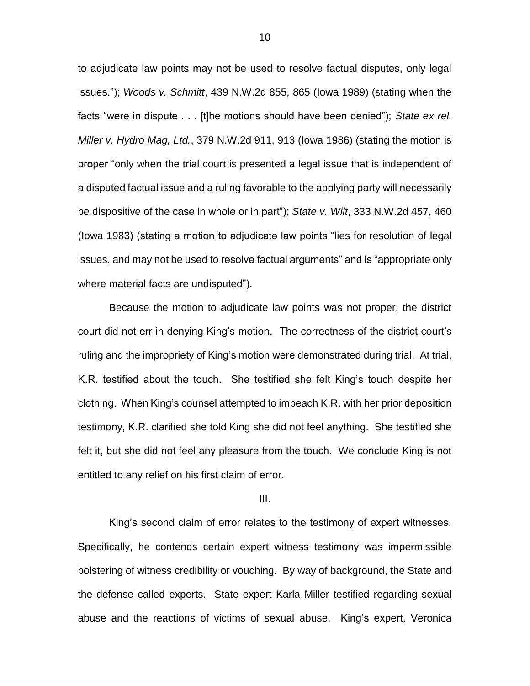to adjudicate law points may not be used to resolve factual disputes, only legal issues."); *Woods v. Schmitt*, 439 N.W.2d 855, 865 (Iowa 1989) (stating when the facts "were in dispute . . . [t]he motions should have been denied"); *State ex rel. Miller v. Hydro Mag, Ltd.*, 379 N.W.2d 911, 913 (Iowa 1986) (stating the motion is proper "only when the trial court is presented a legal issue that is independent of a disputed factual issue and a ruling favorable to the applying party will necessarily be dispositive of the case in whole or in part"); *State v. Wilt*, 333 N.W.2d 457, 460 (Iowa 1983) (stating a motion to adjudicate law points "lies for resolution of legal issues, and may not be used to resolve factual arguments" and is "appropriate only where material facts are undisputed").

Because the motion to adjudicate law points was not proper, the district court did not err in denying King's motion. The correctness of the district court's ruling and the impropriety of King's motion were demonstrated during trial. At trial, K.R. testified about the touch. She testified she felt King's touch despite her clothing. When King's counsel attempted to impeach K.R. with her prior deposition testimony, K.R. clarified she told King she did not feel anything. She testified she felt it, but she did not feel any pleasure from the touch. We conclude King is not entitled to any relief on his first claim of error.

# III.

King's second claim of error relates to the testimony of expert witnesses. Specifically, he contends certain expert witness testimony was impermissible bolstering of witness credibility or vouching. By way of background, the State and the defense called experts. State expert Karla Miller testified regarding sexual abuse and the reactions of victims of sexual abuse. King's expert, Veronica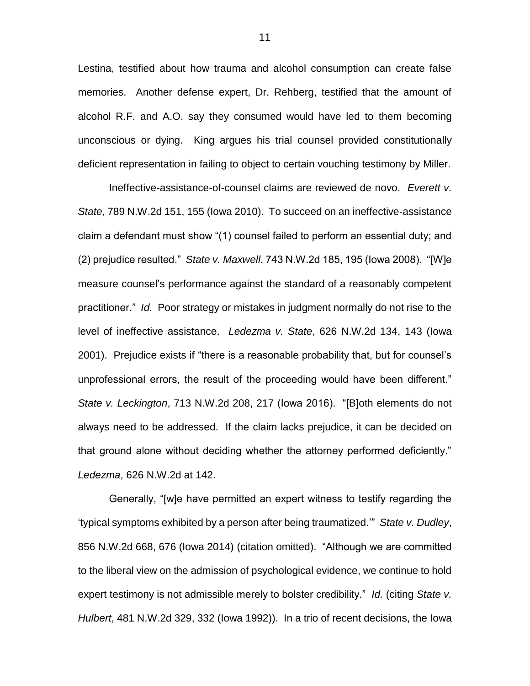Lestina, testified about how trauma and alcohol consumption can create false memories. Another defense expert, Dr. Rehberg, testified that the amount of alcohol R.F. and A.O. say they consumed would have led to them becoming unconscious or dying. King argues his trial counsel provided constitutionally deficient representation in failing to object to certain vouching testimony by Miller.

Ineffective-assistance-of-counsel claims are reviewed de novo. *Everett v. State*, 789 N.W.2d 151, 155 (Iowa 2010). To succeed on an ineffective-assistance claim a defendant must show "(1) counsel failed to perform an essential duty; and (2) prejudice resulted." *State v. Maxwell*, 743 N.W.2d 185, 195 (Iowa 2008). "[W]e measure counsel's performance against the standard of a reasonably competent practitioner." *Id.* Poor strategy or mistakes in judgment normally do not rise to the level of ineffective assistance. *Ledezma v. State*, 626 N.W.2d 134, 143 (Iowa 2001). Prejudice exists if "there is a reasonable probability that, but for counsel's unprofessional errors, the result of the proceeding would have been different." *State v. Leckington*, 713 N.W.2d 208, 217 (Iowa 2016). "[B]oth elements do not always need to be addressed. If the claim lacks prejudice, it can be decided on that ground alone without deciding whether the attorney performed deficiently." *Ledezma*, 626 N.W.2d at 142.

Generally, "[w]e have permitted an expert witness to testify regarding the 'typical symptoms exhibited by a person after being traumatized.'" *State v. Dudley*, 856 N.W.2d 668, 676 (Iowa 2014) (citation omitted). "Although we are committed to the liberal view on the admission of psychological evidence, we continue to hold expert testimony is not admissible merely to bolster credibility." *Id.* (citing *State v. Hulbert*, 481 N.W.2d 329, 332 (Iowa 1992)). In a trio of recent decisions, the Iowa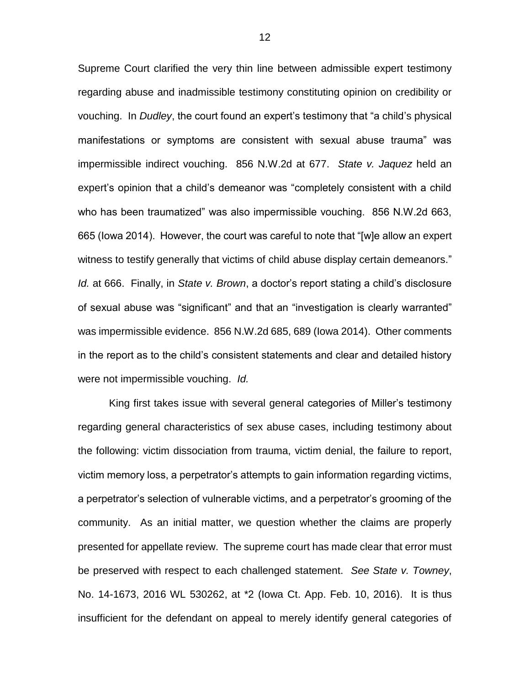Supreme Court clarified the very thin line between admissible expert testimony regarding abuse and inadmissible testimony constituting opinion on credibility or vouching. In *Dudley*, the court found an expert's testimony that "a child's physical manifestations or symptoms are consistent with sexual abuse trauma" was impermissible indirect vouching. 856 N.W.2d at 677. *State v. Jaquez* held an expert's opinion that a child's demeanor was "completely consistent with a child who has been traumatized" was also impermissible vouching. 856 N.W.2d 663, 665 (Iowa 2014). However, the court was careful to note that "[w]e allow an expert witness to testify generally that victims of child abuse display certain demeanors." *Id.* at 666. Finally, in *State v. Brown*, a doctor's report stating a child's disclosure of sexual abuse was "significant" and that an "investigation is clearly warranted" was impermissible evidence. 856 N.W.2d 685, 689 (Iowa 2014). Other comments in the report as to the child's consistent statements and clear and detailed history were not impermissible vouching. *Id.*

King first takes issue with several general categories of Miller's testimony regarding general characteristics of sex abuse cases, including testimony about the following: victim dissociation from trauma, victim denial, the failure to report, victim memory loss, a perpetrator's attempts to gain information regarding victims, a perpetrator's selection of vulnerable victims, and a perpetrator's grooming of the community. As an initial matter, we question whether the claims are properly presented for appellate review. The supreme court has made clear that error must be preserved with respect to each challenged statement. *See State v. Towney*, No. 14-1673, 2016 WL 530262, at \*2 (Iowa Ct. App. Feb. 10, 2016). It is thus insufficient for the defendant on appeal to merely identify general categories of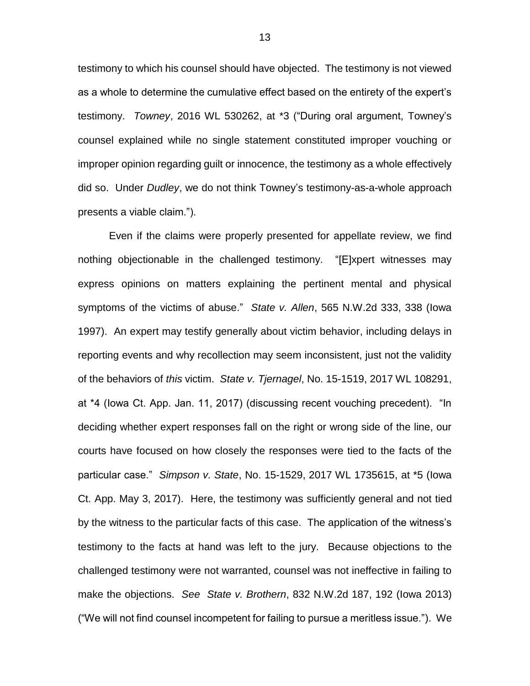testimony to which his counsel should have objected. The testimony is not viewed as a whole to determine the cumulative effect based on the entirety of the expert's testimony. *Towney*, 2016 WL 530262, at \*3 ("During oral argument, Towney's counsel explained while no single statement constituted improper vouching or improper opinion regarding guilt or innocence, the testimony as a whole effectively did so. Under *Dudley*, we do not think Towney's testimony-as-a-whole approach presents a viable claim.").

Even if the claims were properly presented for appellate review, we find nothing objectionable in the challenged testimony. "[E]xpert witnesses may express opinions on matters explaining the pertinent mental and physical symptoms of the victims of abuse." *State v. Allen*, 565 N.W.2d 333, 338 (Iowa 1997). An expert may testify generally about victim behavior, including delays in reporting events and why recollection may seem inconsistent, just not the validity of the behaviors of *this* victim. *State v. Tjernagel*, No. 15-1519, 2017 WL 108291, at \*4 (Iowa Ct. App. Jan. 11, 2017) (discussing recent vouching precedent). "In deciding whether expert responses fall on the right or wrong side of the line, our courts have focused on how closely the responses were tied to the facts of the particular case." *Simpson v. State*, No. 15-1529, 2017 WL 1735615, at \*5 (Iowa Ct. App. May 3, 2017). Here, the testimony was sufficiently general and not tied by the witness to the particular facts of this case. The application of the witness's testimony to the facts at hand was left to the jury. Because objections to the challenged testimony were not warranted, counsel was not ineffective in failing to make the objections. *See State v. Brothern*, 832 N.W.2d 187, 192 (Iowa 2013) ("We will not find counsel incompetent for failing to pursue a meritless issue."). We

13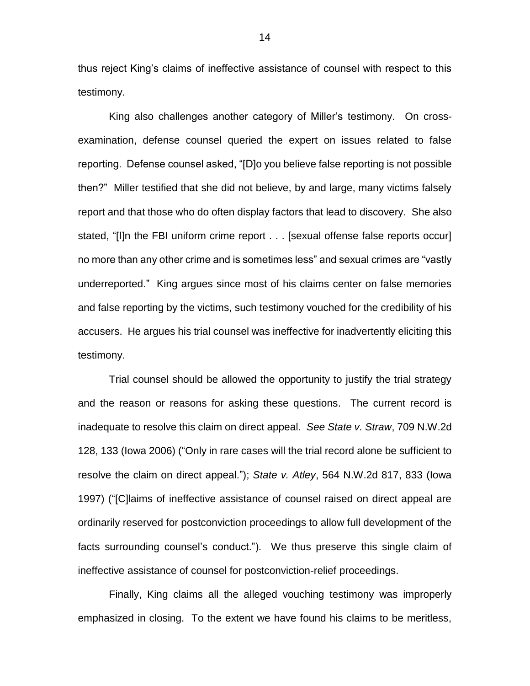thus reject King's claims of ineffective assistance of counsel with respect to this testimony.

King also challenges another category of Miller's testimony. On crossexamination, defense counsel queried the expert on issues related to false reporting. Defense counsel asked, "[D]o you believe false reporting is not possible then?" Miller testified that she did not believe, by and large, many victims falsely report and that those who do often display factors that lead to discovery. She also stated, "[I]n the FBI uniform crime report . . . [sexual offense false reports occur] no more than any other crime and is sometimes less" and sexual crimes are "vastly underreported." King argues since most of his claims center on false memories and false reporting by the victims, such testimony vouched for the credibility of his accusers. He argues his trial counsel was ineffective for inadvertently eliciting this testimony.

Trial counsel should be allowed the opportunity to justify the trial strategy and the reason or reasons for asking these questions. The current record is inadequate to resolve this claim on direct appeal. *See State v. Straw*, 709 N.W.2d 128, 133 (Iowa 2006) ("Only in rare cases will the trial record alone be sufficient to resolve the claim on direct appeal."); *State v. Atley*, 564 N.W.2d 817, 833 (Iowa 1997) ("[C]laims of ineffective assistance of counsel raised on direct appeal are ordinarily reserved for postconviction proceedings to allow full development of the facts surrounding counsel's conduct."). We thus preserve this single claim of ineffective assistance of counsel for postconviction-relief proceedings.

Finally, King claims all the alleged vouching testimony was improperly emphasized in closing. To the extent we have found his claims to be meritless,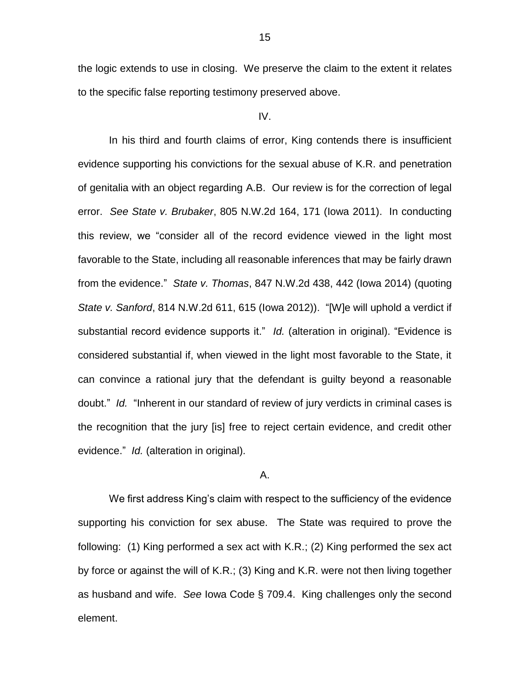the logic extends to use in closing. We preserve the claim to the extent it relates to the specific false reporting testimony preserved above.

### IV.

In his third and fourth claims of error, King contends there is insufficient evidence supporting his convictions for the sexual abuse of K.R. and penetration of genitalia with an object regarding A.B. Our review is for the correction of legal error. *See State v. Brubaker*, 805 N.W.2d 164, 171 (Iowa 2011). In conducting this review, we "consider all of the record evidence viewed in the light most favorable to the State, including all reasonable inferences that may be fairly drawn from the evidence." *State v. Thomas*, 847 N.W.2d 438, 442 (Iowa 2014) (quoting *State v. Sanford*, 814 N.W.2d 611, 615 (Iowa 2012)). "[W]e will uphold a verdict if substantial record evidence supports it." *Id.* (alteration in original). "Evidence is considered substantial if, when viewed in the light most favorable to the State, it can convince a rational jury that the defendant is guilty beyond a reasonable doubt." *Id.* "Inherent in our standard of review of jury verdicts in criminal cases is the recognition that the jury [is] free to reject certain evidence, and credit other evidence." *Id.* (alteration in original).

### A.

We first address King's claim with respect to the sufficiency of the evidence supporting his conviction for sex abuse. The State was required to prove the following: (1) King performed a sex act with K.R.; (2) King performed the sex act by force or against the will of K.R.; (3) King and K.R. were not then living together as husband and wife. *See* Iowa Code § 709.4. King challenges only the second element.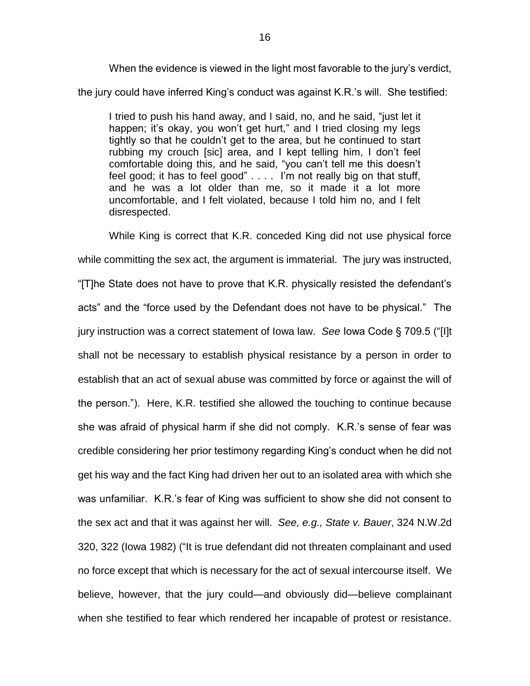When the evidence is viewed in the light most favorable to the jury's verdict, the jury could have inferred King's conduct was against K.R.'s will. She testified:

I tried to push his hand away, and I said, no, and he said, "just let it happen; it's okay, you won't get hurt," and I tried closing my legs tightly so that he couldn't get to the area, but he continued to start rubbing my crouch [sic] area, and I kept telling him, I don't feel comfortable doing this, and he said, "you can't tell me this doesn't feel good; it has to feel good" . . . . I'm not really big on that stuff, and he was a lot older than me, so it made it a lot more uncomfortable, and I felt violated, because I told him no, and I felt disrespected.

While King is correct that K.R. conceded King did not use physical force while committing the sex act, the argument is immaterial. The jury was instructed, "[T]he State does not have to prove that K.R. physically resisted the defendant's acts" and the "force used by the Defendant does not have to be physical." The jury instruction was a correct statement of Iowa law. *See* Iowa Code § 709.5 ("[I]t shall not be necessary to establish physical resistance by a person in order to establish that an act of sexual abuse was committed by force or against the will of the person."). Here, K.R. testified she allowed the touching to continue because she was afraid of physical harm if she did not comply. K.R.'s sense of fear was credible considering her prior testimony regarding King's conduct when he did not get his way and the fact King had driven her out to an isolated area with which she was unfamiliar. K.R.'s fear of King was sufficient to show she did not consent to the sex act and that it was against her will. *See, e.g., State v. Bauer*, 324 N.W.2d 320, 322 (Iowa 1982) ("It is true defendant did not threaten complainant and used no force except that which is necessary for the act of sexual intercourse itself. We believe, however, that the jury could—and obviously did—believe complainant when she testified to fear which rendered her incapable of protest or resistance.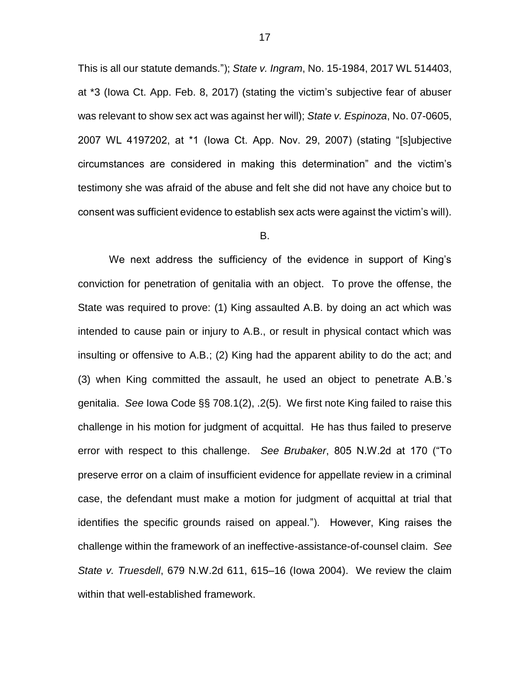This is all our statute demands."); *State v. Ingram*, No. 15-1984, 2017 WL 514403, at \*3 (Iowa Ct. App. Feb. 8, 2017) (stating the victim's subjective fear of abuser was relevant to show sex act was against her will); *State v. Espinoza*, No. 07-0605, 2007 WL 4197202, at \*1 (Iowa Ct. App. Nov. 29, 2007) (stating "[s]ubjective circumstances are considered in making this determination" and the victim's testimony she was afraid of the abuse and felt she did not have any choice but to consent was sufficient evidence to establish sex acts were against the victim's will).

#### B.

We next address the sufficiency of the evidence in support of King's conviction for penetration of genitalia with an object. To prove the offense, the State was required to prove: (1) King assaulted A.B. by doing an act which was intended to cause pain or injury to A.B., or result in physical contact which was insulting or offensive to A.B.; (2) King had the apparent ability to do the act; and (3) when King committed the assault, he used an object to penetrate A.B.'s genitalia. *See* Iowa Code §§ 708.1(2), .2(5). We first note King failed to raise this challenge in his motion for judgment of acquittal. He has thus failed to preserve error with respect to this challenge. *See Brubaker*, 805 N.W.2d at 170 ("To preserve error on a claim of insufficient evidence for appellate review in a criminal case, the defendant must make a motion for judgment of acquittal at trial that identifies the specific grounds raised on appeal."). However, King raises the challenge within the framework of an ineffective-assistance-of-counsel claim. *See State v. Truesdell*, 679 N.W.2d 611, 615–16 (Iowa 2004). We review the claim within that well-established framework.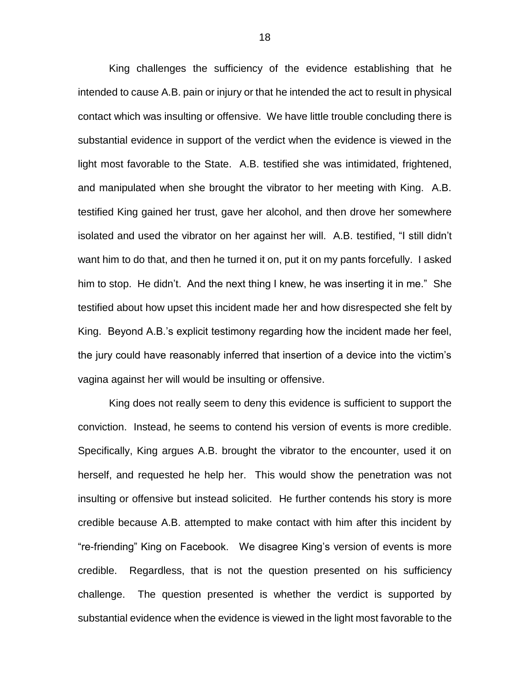King challenges the sufficiency of the evidence establishing that he intended to cause A.B. pain or injury or that he intended the act to result in physical contact which was insulting or offensive. We have little trouble concluding there is substantial evidence in support of the verdict when the evidence is viewed in the light most favorable to the State. A.B. testified she was intimidated, frightened, and manipulated when she brought the vibrator to her meeting with King. A.B. testified King gained her trust, gave her alcohol, and then drove her somewhere isolated and used the vibrator on her against her will. A.B. testified, "I still didn't want him to do that, and then he turned it on, put it on my pants forcefully. I asked him to stop. He didn't. And the next thing I knew, he was inserting it in me." She testified about how upset this incident made her and how disrespected she felt by King. Beyond A.B.'s explicit testimony regarding how the incident made her feel, the jury could have reasonably inferred that insertion of a device into the victim's vagina against her will would be insulting or offensive.

King does not really seem to deny this evidence is sufficient to support the conviction. Instead, he seems to contend his version of events is more credible. Specifically, King argues A.B. brought the vibrator to the encounter, used it on herself, and requested he help her. This would show the penetration was not insulting or offensive but instead solicited. He further contends his story is more credible because A.B. attempted to make contact with him after this incident by "re-friending" King on Facebook. We disagree King's version of events is more credible. Regardless, that is not the question presented on his sufficiency challenge. The question presented is whether the verdict is supported by substantial evidence when the evidence is viewed in the light most favorable to the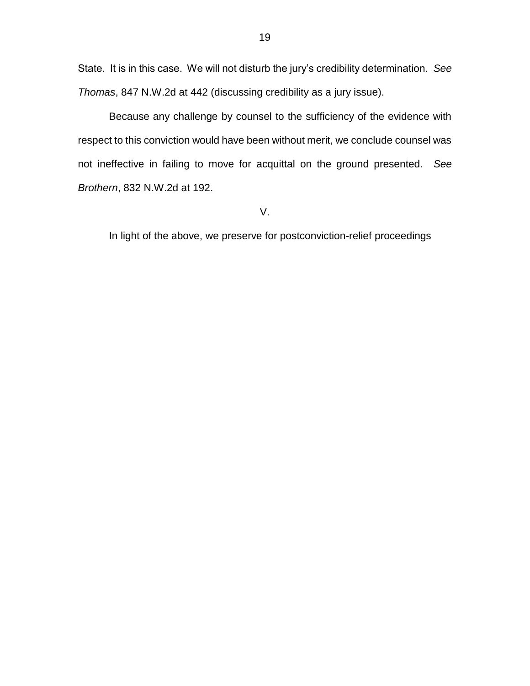State. It is in this case. We will not disturb the jury's credibility determination. *See Thomas*, 847 N.W.2d at 442 (discussing credibility as a jury issue).

Because any challenge by counsel to the sufficiency of the evidence with respect to this conviction would have been without merit, we conclude counsel was not ineffective in failing to move for acquittal on the ground presented. *See Brothern*, 832 N.W.2d at 192.

V.

In light of the above, we preserve for postconviction-relief proceedings